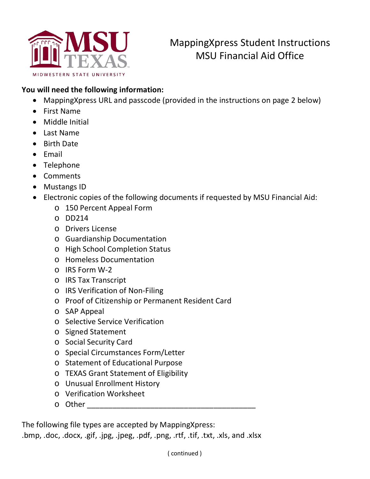

## MappingXpress Student Instructions MSU Financial Aid Office

## **You will need the following information:**

- MappingXpress URL and passcode (provided in the instructions on page 2 below)
- First Name
- Middle Initial
- Last Name
- Birth Date
- Email
- Telephone
- Comments
- Mustangs ID
- Electronic copies of the following documents if requested by MSU Financial Aid:
	- o 150 Percent Appeal Form
	- $O$  DD214
	- o Drivers License
	- o Guardianship Documentation
	- o High School Completion Status
	- o Homeless Documentation
	- o IRS Form W-2
	- o IRS Tax Transcript
	- o IRS Verification of Non-Filing
	- o Proof of Citizenship or Permanent Resident Card
	- o SAP Appeal
	- o Selective Service Verification
	- o Signed Statement
	- o Social Security Card
	- o Special Circumstances Form/Letter
	- o Statement of Educational Purpose
	- o TEXAS Grant Statement of Eligibility
	- o Unusual Enrollment History
	- o Verification Worksheet
	- $\circ$  Other  $\qquad \qquad \circ$

The following file types are accepted by MappingXpress:

.bmp, .doc, .docx, .gif, .jpg, .jpeg, .pdf, .png, .rtf, .tif, .txt, .xls, and .xlsx